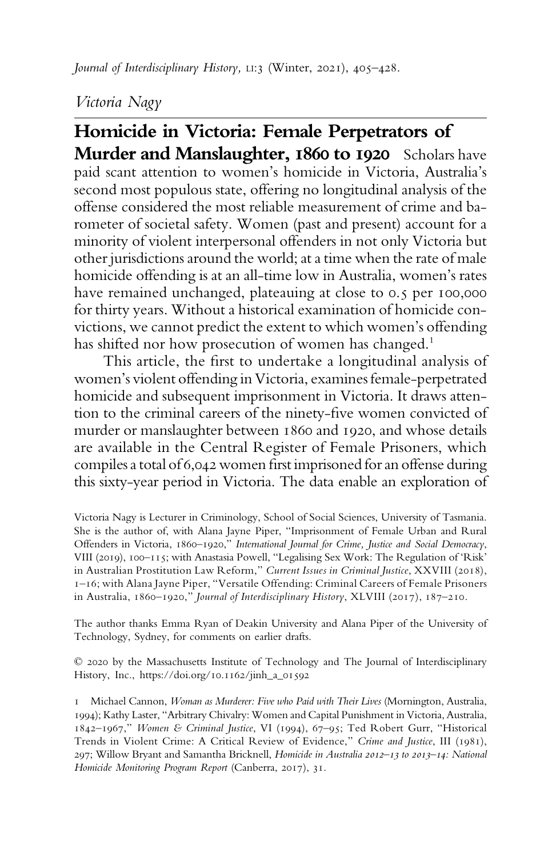# Victoria Nagy

Homicide in Victoria: Female Perpetrators of Murder and Manslaughter, 1860 to 1920 Scholars have paid scant attention to women's homicide in Victoria, Australia's second most populous state, offering no longitudinal analysis of the offense considered the most reliable measurement of crime and barometer of societal safety. Women (past and present) account for a minority of violent interpersonal offenders in not only Victoria but other jurisdictions around the world; at a time when the rate of male homicide offending is at an all-time low in Australia, women's rates have remained unchanged, plateauing at close to 0.5 per 100,000 for thirty years. Without a historical examination of homicide convictions, we cannot predict the extent to which women's offending has shifted nor how prosecution of women has changed.<sup>1</sup>

This article, the first to undertake a longitudinal analysis of women's violent offending in Victoria, examines female-perpetrated homicide and subsequent imprisonment in Victoria. It draws attention to the criminal careers of the ninety-five women convicted of murder or manslaughter between 1860 and 1920, and whose details are available in the Central Register of Female Prisoners, which compiles a total of 6,042 women first imprisoned for an offense during this sixty-year period in Victoria. The data enable an exploration of

Victoria Nagy is Lecturer in Criminology, School of Social Sciences, University of Tasmania. She is the author of, with Alana Jayne Piper, "Imprisonment of Female Urban and Rural Offenders in Victoria, 1860–1920," International Journal for Crime, Justice and Social Democracy, VIII (2019), 100–115; with Anastasia Powell, "Legalising Sex Work: The Regulation of 'Risk' in Australian Prostitution Law Reform," Current Issues in Criminal Justice, XXVIII (2018), 1–16; with Alana Jayne Piper, "Versatile Offending: Criminal Careers of Female Prisoners in Australia, 1860–1920," Journal of Interdisciplinary History, XLVIII (2017), 187–210.

The author thanks Emma Ryan of Deakin University and Alana Piper of the University of Technology, Sydney, for comments on earlier drafts.

© 2020 by the Massachusetts Institute of Technology and The Journal of Interdisciplinary History, Inc., https://doi.org/10.1162/jinh\_a\_01592

1 Michael Cannon, Woman as Murderer: Five who Paid with Their Lives (Mornington, Australia, 1994); Kathy Laster, "Arbitrary Chivalry: Women and Capital Punishment in Victoria, Australia, 1842–1967," Women & Criminal Justice, VI (1994), 67–95; Ted Robert Gurr, "Historical Trends in Violent Crime: A Critical Review of Evidence," Crime and Justice, III (1981), 297; Willow Bryant and Samantha Bricknell, Homicide in Australia 2012–13 to 2013–14: National Homicide Monitoring Program Report (Canberra, 2017), 31.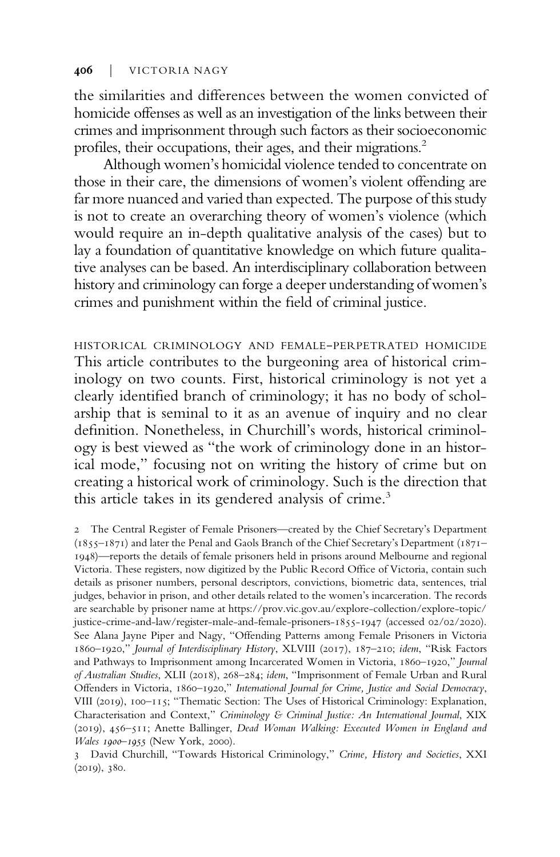the similarities and differences between the women convicted of homicide offenses as well as an investigation of the links between their crimes and imprisonment through such factors as their socioeconomic profiles, their occupations, their ages, and their migrations.<sup>2</sup>

Although women's homicidal violence tended to concentrate on those in their care, the dimensions of women's violent offending are far more nuanced and varied than expected. The purpose of this study is not to create an overarching theory of women's violence (which would require an in-depth qualitative analysis of the cases) but to lay a foundation of quantitative knowledge on which future qualitative analyses can be based. An interdisciplinary collaboration between history and criminology can forge a deeper understanding of women's crimes and punishment within the field of criminal justice.

HISTORICAL CRIMINOLOGY AND FEMALE-PERPETRATED HOMICIDE This article contributes to the burgeoning area of historical criminology on two counts. First, historical criminology is not yet a clearly identified branch of criminology; it has no body of scholarship that is seminal to it as an avenue of inquiry and no clear definition. Nonetheless, in Churchill's words, historical criminology is best viewed as "the work of criminology done in an historical mode," focusing not on writing the history of crime but on creating a historical work of criminology. Such is the direction that this article takes in its gendered analysis of crime.<sup>3</sup>

2 The Central Register of Female Prisoners—created by the Chief Secretary's Department (1855–1871) and later the Penal and Gaols Branch of the Chief Secretary's Department (1871– 1948)—reports the details of female prisoners held in prisons around Melbourne and regional Victoria. These registers, now digitized by the Public Record Office of Victoria, contain such details as prisoner numbers, personal descriptors, convictions, biometric data, sentences, trial judges, behavior in prison, and other details related to the women's incarceration. The records are searchable by prisoner name at [https://prov.vic.gov.au/explore-collection/explore-topic/](https://prov.vic.gov.au/exploreollection/explore-opic/justicerimendaw/registeralendemale-risoners-1947) [justice-crime-and-law/register-male-and-female-prisoners-1855-1947](https://prov.vic.gov.au/exploreollection/explore-opic/justicerimendaw/registeralendemale-risoners-1947) (accessed 02/02/2020). See Alana Jayne Piper and Nagy, "Offending Patterns among Female Prisoners in Victoria 1860–1920," Journal of Interdisciplinary History, XLVIII (2017), 187–210; idem, "Risk Factors and Pathways to Imprisonment among Incarcerated Women in Victoria, 1860–1920," Journal of Australian Studies, XLII (2018), 268–284; idem, "Imprisonment of Female Urban and Rural Offenders in Victoria, 1860–1920," International Journal for Crime, Justice and Social Democracy, VIII (2019), 100–115; "Thematic Section: The Uses of Historical Criminology: Explanation, Characterisation and Context," Criminology & Criminal Justice: An International Journal, XIX (2019), 456–511; Anette Ballinger, Dead Woman Walking: Executed Women in England and Wales 1900–1955 (New York, 2000).

3 David Churchill, "Towards Historical Criminology," Crime, History and Societies, XXI (2019), 380.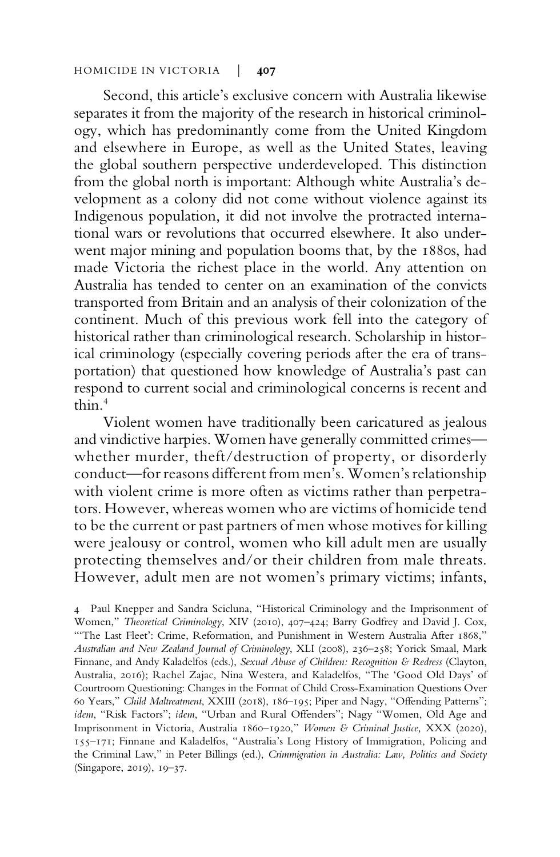Second, this article's exclusive concern with Australia likewise separates it from the majority of the research in historical criminology, which has predominantly come from the United Kingdom and elsewhere in Europe, as well as the United States, leaving the global southern perspective underdeveloped. This distinction from the global north is important: Although white Australia's development as a colony did not come without violence against its Indigenous population, it did not involve the protracted international wars or revolutions that occurred elsewhere. It also underwent major mining and population booms that, by the 1880s, had made Victoria the richest place in the world. Any attention on Australia has tended to center on an examination of the convicts transported from Britain and an analysis of their colonization of the continent. Much of this previous work fell into the category of historical rather than criminological research. Scholarship in historical criminology (especially covering periods after the era of transportation) that questioned how knowledge of Australia's past can respond to current social and criminological concerns is recent and thin  $4$ 

Violent women have traditionally been caricatured as jealous and vindictive harpies. Women have generally committed crimes whether murder, theft/destruction of property, or disorderly conduct—for reasons different from men's. Women's relationship with violent crime is more often as victims rather than perpetrators. However, whereas women who are victims of homicide tend to be the current or past partners of men whose motives for killing were jealousy or control, women who kill adult men are usually protecting themselves and/or their children from male threats. However, adult men are not women's primary victims; infants,

4 Paul Knepper and Sandra Scicluna, "Historical Criminology and the Imprisonment of Women," Theoretical Criminology, XIV (2010), 407–424; Barry Godfrey and David J. Cox, "'The Last Fleet': Crime, Reformation, and Punishment in Western Australia After 1868," Australian and New Zealand Journal of Criminology, XLI (2008), 236–258; Yorick Smaal, Mark Finnane, and Andy Kaladelfos (eds.), Sexual Abuse of Children: Recognition & Redress (Clayton, Australia, 2016); Rachel Zajac, Nina Westera, and Kaladelfos, "The 'Good Old Days' of Courtroom Questioning: Changes in the Format of Child Cross-Examination Questions Over 60 Years," Child Maltreatment, XXIII (2018), 186–195; Piper and Nagy, "Offending Patterns"; idem, "Risk Factors"; idem, "Urban and Rural Offenders"; Nagy "Women, Old Age and Imprisonment in Victoria, Australia 1860–1920," Women & Criminal Justice, XXX (2020), 155–171; Finnane and Kaladelfos, "Australia's Long History of Immigration, Policing and the Criminal Law," in Peter Billings (ed.), Crimmigration in Australia: Law, Politics and Society (Singapore, 2019), 19–37.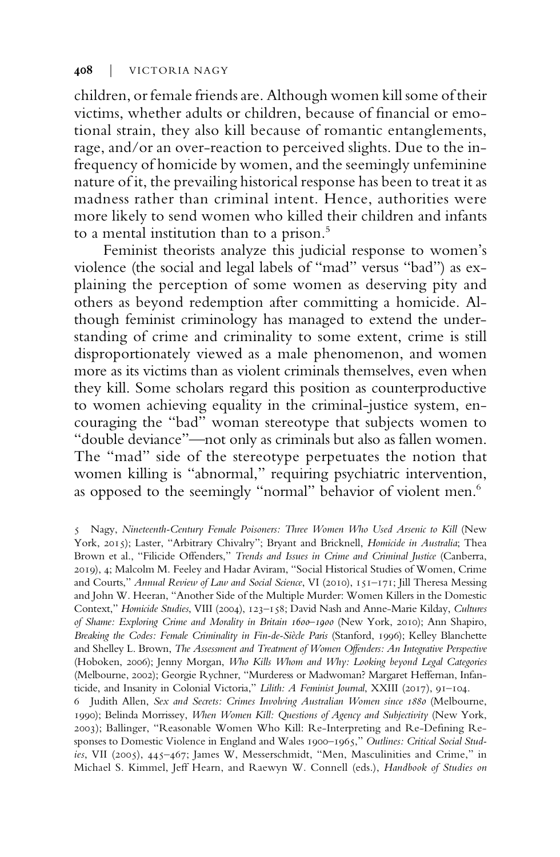children, or female friends are. Although women kill some of their victims, whether adults or children, because of financial or emotional strain, they also kill because of romantic entanglements, rage, and/or an over-reaction to perceived slights. Due to the infrequency of homicide by women, and the seemingly unfeminine nature of it, the prevailing historical response has been to treat it as madness rather than criminal intent. Hence, authorities were more likely to send women who killed their children and infants to a mental institution than to a prison.<sup>5</sup>

Feminist theorists analyze this judicial response to women's violence (the social and legal labels of "mad" versus "bad") as explaining the perception of some women as deserving pity and others as beyond redemption after committing a homicide. Although feminist criminology has managed to extend the understanding of crime and criminality to some extent, crime is still disproportionately viewed as a male phenomenon, and women more as its victims than as violent criminals themselves, even when they kill. Some scholars regard this position as counterproductive to women achieving equality in the criminal-justice system, encouraging the "bad" woman stereotype that subjects women to "double deviance"—not only as criminals but also as fallen women. The "mad" side of the stereotype perpetuates the notion that women killing is "abnormal," requiring psychiatric intervention, as opposed to the seemingly "normal" behavior of violent men.<sup>6</sup>

<sup>5</sup> Nagy, Nineteenth-Century Female Poisoners: Three Women Who Used Arsenic to Kill (New York, 2015); Laster, "Arbitrary Chivalry"; Bryant and Bricknell, Homicide in Australia; Thea Brown et al., "Filicide Offenders," Trends and Issues in Crime and Criminal Justice (Canberra, 2019), 4; Malcolm M. Feeley and Hadar Aviram, "Social Historical Studies of Women, Crime and Courts," Annual Review of Law and Social Science, VI (2010), 151-171; Jill Theresa Messing and John W. Heeran, "Another Side of the Multiple Murder: Women Killers in the Domestic Context," Homicide Studies, VIII (2004), 123–158; David Nash and Anne-Marie Kilday, Cultures of Shame: Exploring Crime and Morality in Britain 1600–1900 (New York, 2010); Ann Shapiro, Breaking the Codes: Female Criminality in Fin-de-Siècle Paris (Stanford, 1996); Kelley Blanchette and Shelley L. Brown, The Assessment and Treatment of Women Offenders: An Integrative Perspective (Hoboken, 2006); Jenny Morgan, Who Kills Whom and Why: Looking beyond Legal Categories (Melbourne, 2002); Georgie Rychner, "Murderess or Madwoman? Margaret Heffernan, Infanticide, and Insanity in Colonial Victoria," Lilith: A Feminist Journal, XXIII (2017), 91-104.

<sup>6</sup> Judith Allen, Sex and Secrets: Crimes Involving Australian Women since 1880 (Melbourne, 1990); Belinda Morrissey, When Women Kill: Questions of Agency and Subjectivity (New York, 2003); Ballinger, "Reasonable Women Who Kill: Re-Interpreting and Re-Defining Responses to Domestic Violence in England and Wales 1900-1965," Outlines: Critical Social Studies, VII (2005), 445–467; James W, Messerschmidt, "Men, Masculinities and Crime," in Michael S. Kimmel, Jeff Hearn, and Raewyn W. Connell (eds.), Handbook of Studies on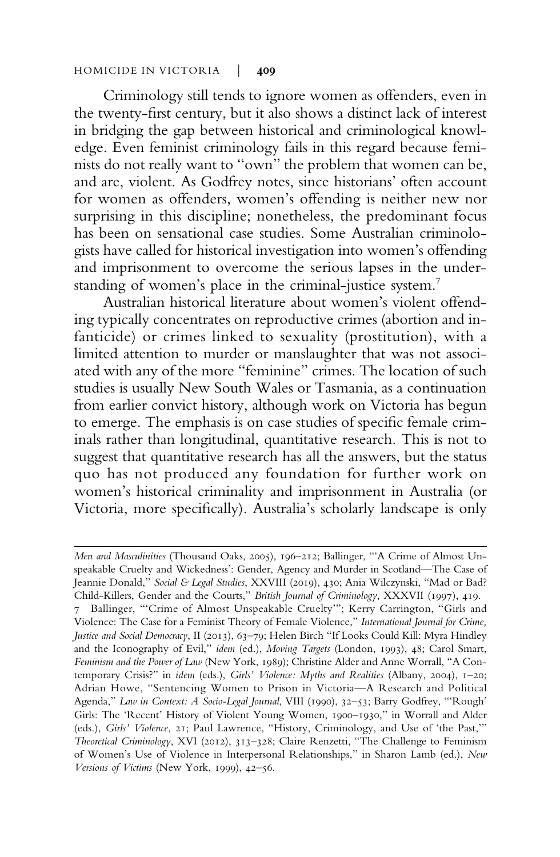Criminology still tends to ignore women as offenders, even in the twenty-first century, but it also shows a distinct lack of interest in bridging the gap between historical and criminological knowledge. Even feminist criminology fails in this regard because feminists do not really want to "own" the problem that women can be, and are, violent. As Godfrey notes, since historians' often account for women as offenders, women's offending is neither new nor surprising in this discipline; nonetheless, the predominant focus has been on sensational case studies. Some Australian criminologists have called for historical investigation into women's offending and imprisonment to overcome the serious lapses in the understanding of women's place in the criminal-justice system.<sup>7</sup>

Australian historical literature about women's violent offending typically concentrates on reproductive crimes (abortion and infanticide) or crimes linked to sexuality (prostitution), with a limited attention to murder or manslaughter that was not associated with any of the more "feminine" crimes. The location of such studies is usually New South Wales or Tasmania, as a continuation from earlier convict history, although work on Victoria has begun to emerge. The emphasis is on case studies of specific female criminals rather than longitudinal, quantitative research. This is not to suggest that quantitative research has all the answers, but the status quo has not produced any foundation for further work on women's historical criminality and imprisonment in Australia (or Victoria, more specifically). Australia's scholarly landscape is only

Men and Masculinities (Thousand Oaks, 2005), 196–212; Ballinger, "'A Crime of Almost Unspeakable Cruelty and Wickedness': Gender, Agency and Murder in Scotland—The Case of Jeannie Donald," Social & Legal Studies, XXVIII (2019), 430; Ania Wilczynski, "Mad or Bad? Child-Killers, Gender and the Courts," British Journal of Criminology, XXXVII (1997), 419. 7 Ballinger, "'Crime of Almost Unspeakable Cruelty'"; Kerry Carrington, "Girls and Violence: The Case for a Feminist Theory of Female Violence," International Journal for Crime, Justice and Social Democracy, II (2013), 63-79; Helen Birch "If Looks Could Kill: Myra Hindley and the Iconography of Evil," idem (ed.), Moving Targets (London, 1993), 48; Carol Smart, Feminism and the Power of Law (New York, 1989); Christine Alder and Anne Worrall, "A Contemporary Crisis?" in idem (eds.), Girls' Violence: Myths and Realities (Albany, 2004), 1-20; Adrian Howe, "Sentencing Women to Prison in Victoria—A Research and Political Agenda," Law in Context: A Socio-Legal Journal, VIII (1990), 32–53; Barry Godfrey, "'Rough' Girls: The 'Recent' History of Violent Young Women, 1900–1930," in Worrall and Alder (eds.), Girls' Violence, 21; Paul Lawrence, "History, Criminology, and Use of 'the Past,'" Theoretical Criminology, XVI (2012), 313–328; Claire Renzetti, "The Challenge to Feminism of Women's Use of Violence in Interpersonal Relationships," in Sharon Lamb (ed.), New Versions of Victims (New York, 1999), 42–56.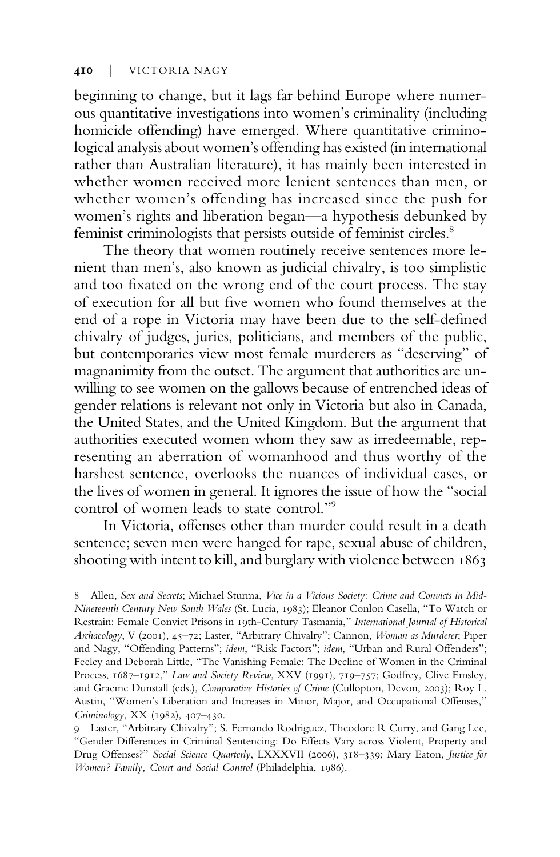beginning to change, but it lags far behind Europe where numerous quantitative investigations into women's criminality (including homicide offending) have emerged. Where quantitative criminological analysis about women's offending has existed (in international rather than Australian literature), it has mainly been interested in whether women received more lenient sentences than men, or whether women's offending has increased since the push for women's rights and liberation began—a hypothesis debunked by feminist criminologists that persists outside of feminist circles.<sup>8</sup>

The theory that women routinely receive sentences more lenient than men's, also known as judicial chivalry, is too simplistic and too fixated on the wrong end of the court process. The stay of execution for all but five women who found themselves at the end of a rope in Victoria may have been due to the self-defined chivalry of judges, juries, politicians, and members of the public, but contemporaries view most female murderers as "deserving" of magnanimity from the outset. The argument that authorities are unwilling to see women on the gallows because of entrenched ideas of gender relations is relevant not only in Victoria but also in Canada, the United States, and the United Kingdom. But the argument that authorities executed women whom they saw as irredeemable, representing an aberration of womanhood and thus worthy of the harshest sentence, overlooks the nuances of individual cases, or the lives of women in general. It ignores the issue of how the "social control of women leads to state control."<sup>9</sup>

In Victoria, offenses other than murder could result in a death sentence; seven men were hanged for rape, sexual abuse of children, shooting with intent to kill, and burglary with violence between 1863

<sup>8</sup> Allen, Sex and Secrets; Michael Sturma, Vice in a Vicious Society: Crime and Convicts in Mid-Nineteenth Century New South Wales (St. Lucia, 1983); Eleanor Conlon Casella, "To Watch or Restrain: Female Convict Prisons in 19th-Century Tasmania," International Journal of Historical Archaeology, V (2001), 45-72; Laster, "Arbitrary Chivalry"; Cannon, Woman as Murderer; Piper and Nagy, "Offending Patterns"; idem, "Risk Factors"; idem, "Urban and Rural Offenders"; Feeley and Deborah Little, "The Vanishing Female: The Decline of Women in the Criminal Process, 1687–1912," Law and Society Review, XXV (1991), 719–757; Godfrey, Clive Emsley, and Graeme Dunstall (eds.), Comparative Histories of Crime (Cullopton, Devon, 2003); Roy L. Austin, "Women's Liberation and Increases in Minor, Major, and Occupational Offenses," Criminology, XX (1982), 407–430.

<sup>9</sup> Laster, "Arbitrary Chivalry"; S. Fernando Rodriguez, Theodore R Curry, and Gang Lee, "Gender Differences in Criminal Sentencing: Do Effects Vary across Violent, Property and Drug Offenses?" Social Science Quarterly, LXXXVII (2006), 318–339; Mary Eaton, Justice for Women? Family, Court and Social Control (Philadelphia, 1986).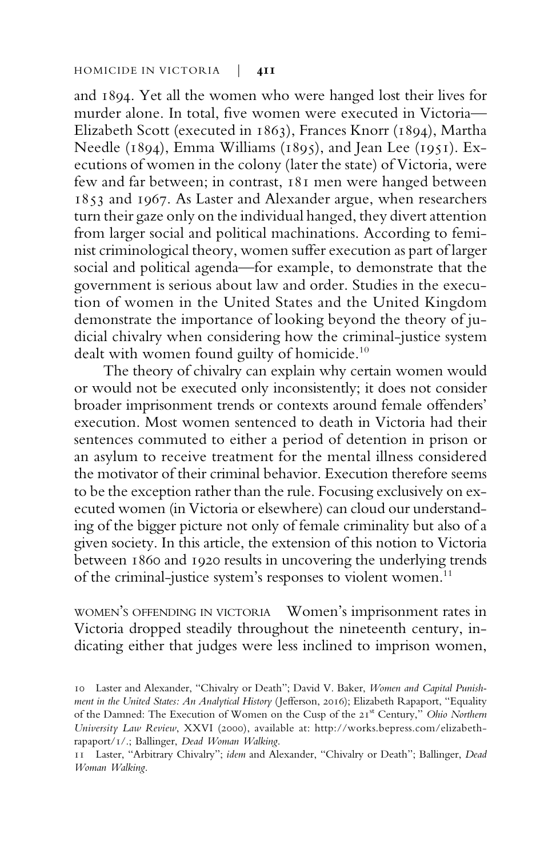and 1894. Yet all the women who were hanged lost their lives for murder alone. In total, five women were executed in Victoria— Elizabeth Scott (executed in 1863), Frances Knorr (1894), Martha Needle (1894), Emma Williams (1895), and Jean Lee (1951). Executions of women in the colony (later the state) of Victoria, were few and far between; in contrast, 181 men were hanged between 1853 and 1967. As Laster and Alexander argue, when researchers turn their gaze only on the individual hanged, they divert attention from larger social and political machinations. According to feminist criminological theory, women suffer execution as part of larger social and political agenda—for example, to demonstrate that the government is serious about law and order. Studies in the execution of women in the United States and the United Kingdom demonstrate the importance of looking beyond the theory of judicial chivalry when considering how the criminal-justice system dealt with women found guilty of homicide.<sup>10</sup>

The theory of chivalry can explain why certain women would or would not be executed only inconsistently; it does not consider broader imprisonment trends or contexts around female offenders' execution. Most women sentenced to death in Victoria had their sentences commuted to either a period of detention in prison or an asylum to receive treatment for the mental illness considered the motivator of their criminal behavior. Execution therefore seems to be the exception rather than the rule. Focusing exclusively on executed women (in Victoria or elsewhere) can cloud our understanding of the bigger picture not only of female criminality but also of a given society. In this article, the extension of this notion to Victoria between 1860 and 1920 results in uncovering the underlying trends of the criminal-justice system's responses to violent women.<sup>11</sup>

WOMEN'S OFFENDING IN VICTORIA Women's imprisonment rates in Victoria dropped steadily throughout the nineteenth century, indicating either that judges were less inclined to imprison women,

<sup>10</sup> Laster and Alexander, "Chivalry or Death"; David V. Baker, Women and Capital Punishment in the United States: An Analytical History (Jefferson, 2016); Elizabeth Rapaport, "Equality of the Damned: The Execution of Women on the Cusp of the 21st Century," Ohio Northern University Law Review, XXVI (2000), available at: http://works.bepress.com/elizabethrapaport/1/.; Ballinger, Dead Woman Walking.

<sup>11</sup> Laster, "Arbitrary Chivalry"; idem and Alexander, "Chivalry or Death"; Ballinger, Dead Woman Walking.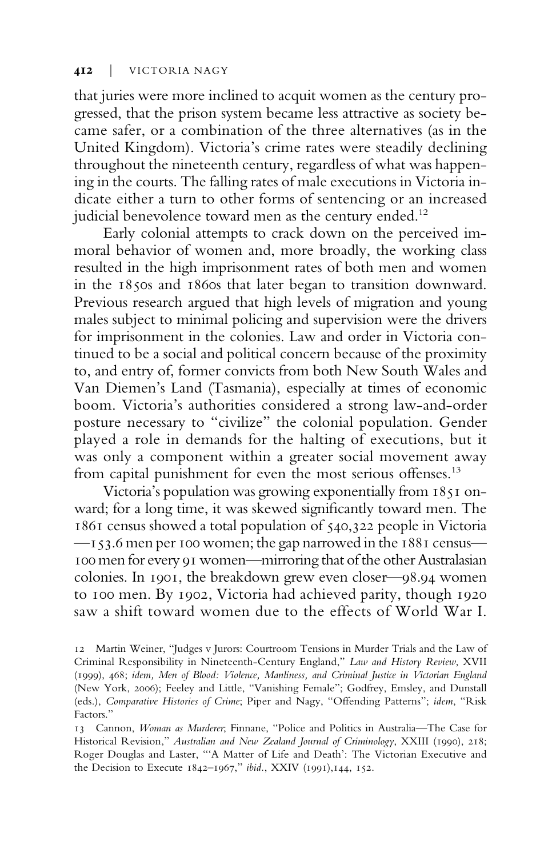that juries were more inclined to acquit women as the century progressed, that the prison system became less attractive as society became safer, or a combination of the three alternatives (as in the United Kingdom). Victoria's crime rates were steadily declining throughout the nineteenth century, regardless of what was happening in the courts. The falling rates of male executions in Victoria indicate either a turn to other forms of sentencing or an increased judicial benevolence toward men as the century ended.<sup>12</sup>

Early colonial attempts to crack down on the perceived immoral behavior of women and, more broadly, the working class resulted in the high imprisonment rates of both men and women in the 1850s and 1860s that later began to transition downward. Previous research argued that high levels of migration and young males subject to minimal policing and supervision were the drivers for imprisonment in the colonies. Law and order in Victoria continued to be a social and political concern because of the proximity to, and entry of, former convicts from both New South Wales and Van Diemen's Land (Tasmania), especially at times of economic boom. Victoria's authorities considered a strong law-and-order posture necessary to "civilize" the colonial population. Gender played a role in demands for the halting of executions, but it was only a component within a greater social movement away from capital punishment for even the most serious offenses.<sup>13</sup>

Victoria's population was growing exponentially from 1851 onward; for a long time, it was skewed significantly toward men. The 1861 census showed a total population of 540,322 people in Victoria —153.6 men per 100 women; the gap narrowed in the 1881 census— 100 men for every 91 women—mirroring that of the other Australasian colonies. In 1901, the breakdown grew even closer—98.94 women to 100 men. By 1902, Victoria had achieved parity, though 1920 saw a shift toward women due to the effects of World War I.

<sup>12</sup> Martin Weiner, "Judges v Jurors: Courtroom Tensions in Murder Trials and the Law of Criminal Responsibility in Nineteenth-Century England," Law and History Review, XVII (1999), 468; idem, Men of Blood: Violence, Manliness, and Criminal Justice in Victorian England (New York, 2006); Feeley and Little, "Vanishing Female"; Godfrey, Emsley, and Dunstall (eds.), Comparative Histories of Crime; Piper and Nagy, "Offending Patterns"; idem, "Risk Factors."

<sup>13</sup> Cannon, Woman as Murderer; Finnane, "Police and Politics in Australia—The Case for Historical Revision," Australian and New Zealand Journal of Criminology, XXIII (1990), 218; Roger Douglas and Laster, "'A Matter of Life and Death': The Victorian Executive and the Decision to Execute 1842–1967," ibid., XXIV (1991),144, 152.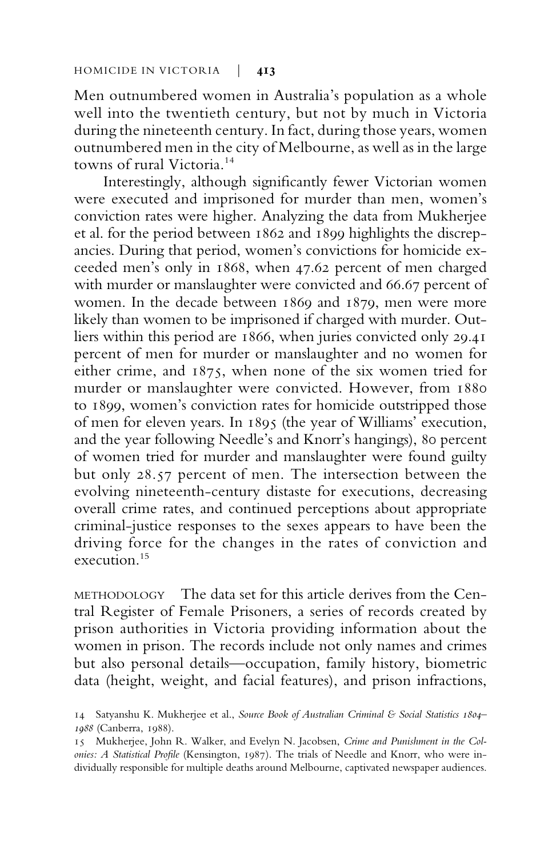Men outnumbered women in Australia's population as a whole well into the twentieth century, but not by much in Victoria during the nineteenth century. In fact, during those years, women outnumbered men in the city of Melbourne, as well as in the large towns of rural Victoria.<sup>14</sup>

Interestingly, although significantly fewer Victorian women were executed and imprisoned for murder than men, women's conviction rates were higher. Analyzing the data from Mukherjee et al. for the period between 1862 and 1899 highlights the discrepancies. During that period, women's convictions for homicide exceeded men's only in 1868, when 47.62 percent of men charged with murder or manslaughter were convicted and 66.67 percent of women. In the decade between 1869 and 1879, men were more likely than women to be imprisoned if charged with murder. Outliers within this period are 1866, when juries convicted only 29.41 percent of men for murder or manslaughter and no women for either crime, and 1875, when none of the six women tried for murder or manslaughter were convicted. However, from 1880 to 1899, women's conviction rates for homicide outstripped those of men for eleven years. In 1895 (the year of Williams' execution, and the year following Needle's and Knorr's hangings), 80 percent of women tried for murder and manslaughter were found guilty but only 28.57 percent of men. The intersection between the evolving nineteenth-century distaste for executions, decreasing overall crime rates, and continued perceptions about appropriate criminal-justice responses to the sexes appears to have been the driving force for the changes in the rates of conviction and execution<sup>15</sup>

METHODOLOGY The data set for this article derives from the Central Register of Female Prisoners, a series of records created by prison authorities in Victoria providing information about the women in prison. The records include not only names and crimes but also personal details—occupation, family history, biometric data (height, weight, and facial features), and prison infractions,

<sup>14</sup> Satyanshu K. Mukherjee et al., Source Book of Australian Criminal & Social Statistics 1804-1988 (Canberra, 1988).

<sup>15</sup> Mukherjee, John R. Walker, and Evelyn N. Jacobsen, Crime and Punishment in the Colonies: A Statistical Profile (Kensington, 1987). The trials of Needle and Knorr, who were individually responsible for multiple deaths around Melbourne, captivated newspaper audiences.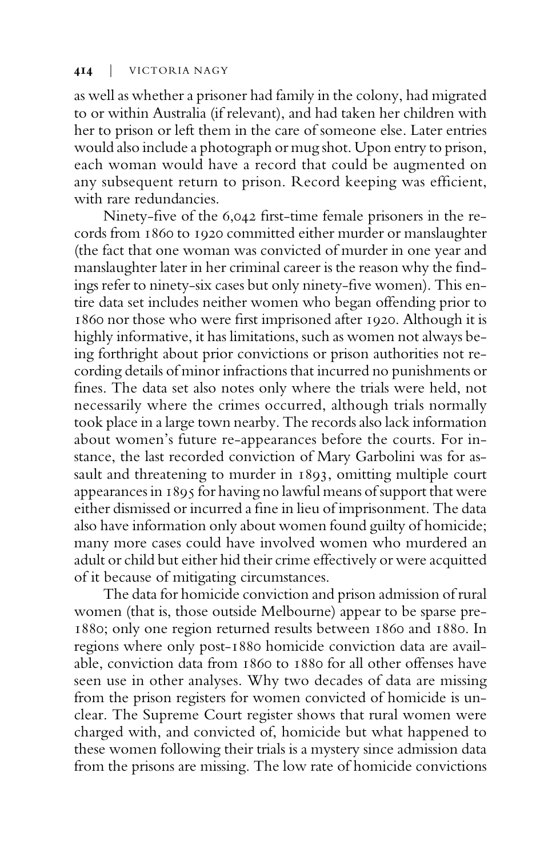as well as whether a prisoner had family in the colony, had migrated to or within Australia (if relevant), and had taken her children with her to prison or left them in the care of someone else. Later entries would also include a photograph or mug shot. Upon entry to prison, each woman would have a record that could be augmented on any subsequent return to prison. Record keeping was efficient, with rare redundancies.

Ninety-five of the 6,042 first-time female prisoners in the records from 1860 to 1920 committed either murder or manslaughter (the fact that one woman was convicted of murder in one year and manslaughter later in her criminal career is the reason why the findings refer to ninety-six cases but only ninety-five women). This entire data set includes neither women who began offending prior to 1860 nor those who were first imprisoned after 1920. Although it is highly informative, it has limitations, such as women not always being forthright about prior convictions or prison authorities not recording details of minor infractions that incurred no punishments or fines. The data set also notes only where the trials were held, not necessarily where the crimes occurred, although trials normally took place in a large town nearby. The records also lack information about women's future re-appearances before the courts. For instance, the last recorded conviction of Mary Garbolini was for assault and threatening to murder in 1893, omitting multiple court appearances in 1895 for having no lawful means of support that were either dismissed or incurred a fine in lieu of imprisonment. The data also have information only about women found guilty of homicide; many more cases could have involved women who murdered an adult or child but either hid their crime effectively or were acquitted of it because of mitigating circumstances.

The data for homicide conviction and prison admission of rural women (that is, those outside Melbourne) appear to be sparse pre-1880; only one region returned results between 1860 and 1880. In regions where only post-1880 homicide conviction data are available, conviction data from 1860 to 1880 for all other offenses have seen use in other analyses. Why two decades of data are missing from the prison registers for women convicted of homicide is unclear. The Supreme Court register shows that rural women were charged with, and convicted of, homicide but what happened to these women following their trials is a mystery since admission data from the prisons are missing. The low rate of homicide convictions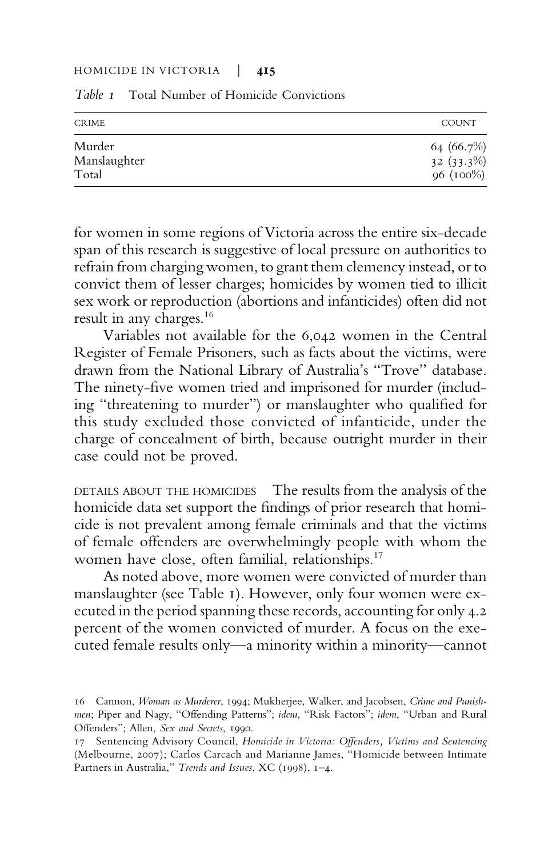| <b>CRIME</b> | <b>COUNT</b> |
|--------------|--------------|
| Murder       | 64 (66.7%)   |
| Manslaughter | $32(33.3\%)$ |
| Total        | 96 (100%)    |

Table 1 Total Number of Homicide Convictions

for women in some regions of Victoria across the entire six-decade span of this research is suggestive of local pressure on authorities to refrain from charging women, to grant them clemency instead, or to convict them of lesser charges; homicides by women tied to illicit sex work or reproduction (abortions and infanticides) often did not result in any charges.<sup>16</sup>

Variables not available for the 6,042 women in the Central Register of Female Prisoners, such as facts about the victims, were drawn from the National Library of Australia's "Trove" database. The ninety-five women tried and imprisoned for murder (including "threatening to murder") or manslaughter who qualified for this study excluded those convicted of infanticide, under the charge of concealment of birth, because outright murder in their case could not be proved.

DETAILS ABOUT THE HOMICIDES The results from the analysis of the homicide data set support the findings of prior research that homicide is not prevalent among female criminals and that the victims of female offenders are overwhelmingly people with whom the women have close, often familial, relationships.<sup>17</sup>

As noted above, more women were convicted of murder than manslaughter (see Table 1). However, only four women were executed in the period spanning these records, accounting for only 4.2 percent of the women convicted of murder. A focus on the executed female results only—a minority within a minority—cannot

<sup>16</sup> Cannon, Woman as Murderer, 1994; Mukherjee, Walker, and Jacobsen, Crime and Punishmen; Piper and Nagy, "Offending Patterns"; idem, "Risk Factors"; idem, "Urban and Rural Offenders"; Allen, Sex and Secrets, 1990.

<sup>17</sup> Sentencing Advisory Council, Homicide in Victoria: Offenders, Victims and Sentencing (Melbourne, 2007); Carlos Carcach and Marianne James, "Homicide between Intimate Partners in Australia," Trends and Issues, XC (1998), 1-4.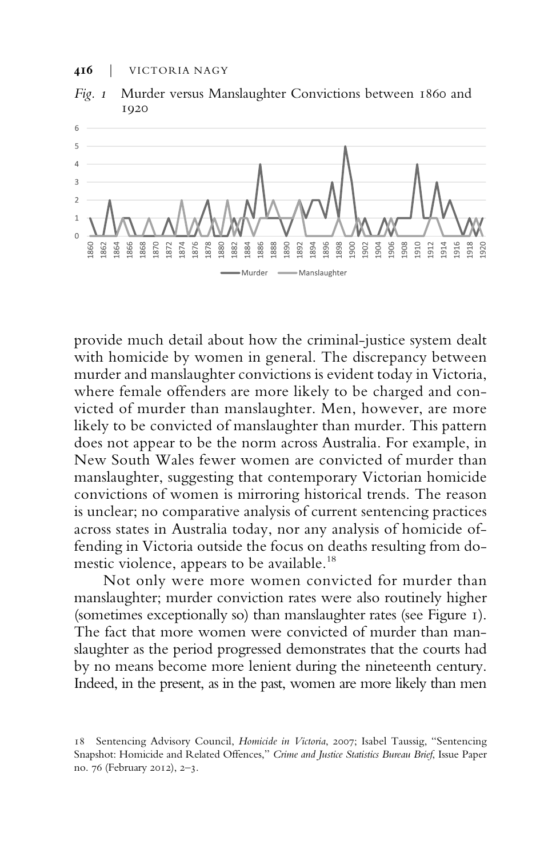



provide much detail about how the criminal-justice system dealt with homicide by women in general. The discrepancy between murder and manslaughter convictions is evident today in Victoria, where female offenders are more likely to be charged and convicted of murder than manslaughter. Men, however, are more likely to be convicted of manslaughter than murder. This pattern does not appear to be the norm across Australia. For example, in New South Wales fewer women are convicted of murder than manslaughter, suggesting that contemporary Victorian homicide convictions of women is mirroring historical trends. The reason is unclear; no comparative analysis of current sentencing practices across states in Australia today, nor any analysis of homicide offending in Victoria outside the focus on deaths resulting from domestic violence, appears to be available.<sup>18</sup>

Not only were more women convicted for murder than manslaughter; murder conviction rates were also routinely higher (sometimes exceptionally so) than manslaughter rates (see Figure 1). The fact that more women were convicted of murder than manslaughter as the period progressed demonstrates that the courts had by no means become more lenient during the nineteenth century. Indeed, in the present, as in the past, women are more likely than men

<sup>18</sup> Sentencing Advisory Council, Homicide in Victoria, 2007; Isabel Taussig, "Sentencing Snapshot: Homicide and Related Offences," Crime and Justice Statistics Bureau Brief, Issue Paper no. 76 (February 2012), 2–3.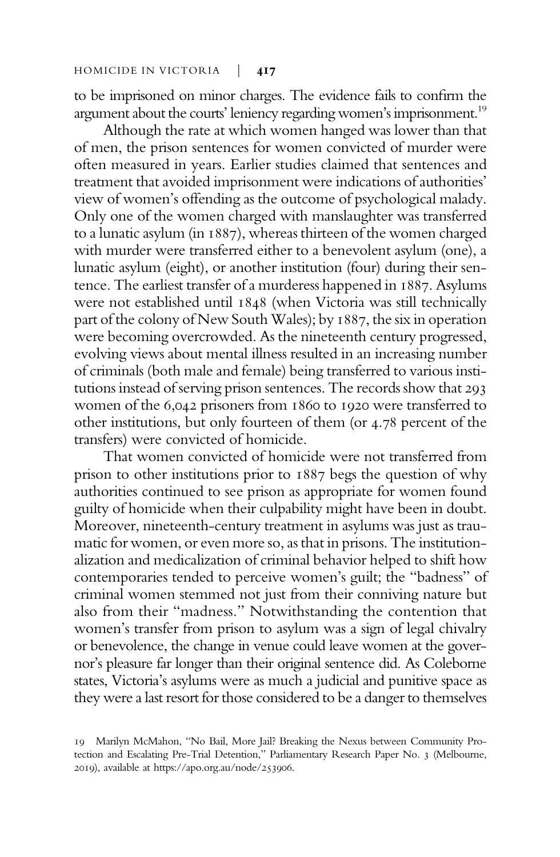to be imprisoned on minor charges. The evidence fails to confirm the argument about the courts' leniency regarding women's imprisonment.<sup>19</sup>

Although the rate at which women hanged was lower than that of men, the prison sentences for women convicted of murder were often measured in years. Earlier studies claimed that sentences and treatment that avoided imprisonment were indications of authorities' view of women's offending as the outcome of psychological malady. Only one of the women charged with manslaughter was transferred to a lunatic asylum (in 1887), whereas thirteen of the women charged with murder were transferred either to a benevolent asylum (one), a lunatic asylum (eight), or another institution (four) during their sentence. The earliest transfer of a murderess happened in 1887. Asylums were not established until 1848 (when Victoria was still technically part of the colony of New South Wales); by 1887, the six in operation were becoming overcrowded. As the nineteenth century progressed, evolving views about mental illness resulted in an increasing number of criminals (both male and female) being transferred to various institutions instead of serving prison sentences. The records show that 293 women of the 6,042 prisoners from 1860 to 1920 were transferred to other institutions, but only fourteen of them (or 4.78 percent of the transfers) were convicted of homicide.

That women convicted of homicide were not transferred from prison to other institutions prior to 1887 begs the question of why authorities continued to see prison as appropriate for women found guilty of homicide when their culpability might have been in doubt. Moreover, nineteenth-century treatment in asylums was just as traumatic for women, or even more so, as that in prisons. The institutionalization and medicalization of criminal behavior helped to shift how contemporaries tended to perceive women's guilt; the "badness" of criminal women stemmed not just from their conniving nature but also from their "madness." Notwithstanding the contention that women's transfer from prison to asylum was a sign of legal chivalry or benevolence, the change in venue could leave women at the governor's pleasure far longer than their original sentence did. As Coleborne states, Victoria's asylums were as much a judicial and punitive space as they were a last resort for those considered to be a danger to themselves

<sup>19</sup> Marilyn McMahon, "No Bail, More Jail? Breaking the Nexus between Community Protection and Escalating Pre-Trial Detention," Parliamentary Research Paper No. 3 (Melbourne, 2019), available at https://apo.org.au/node/253906.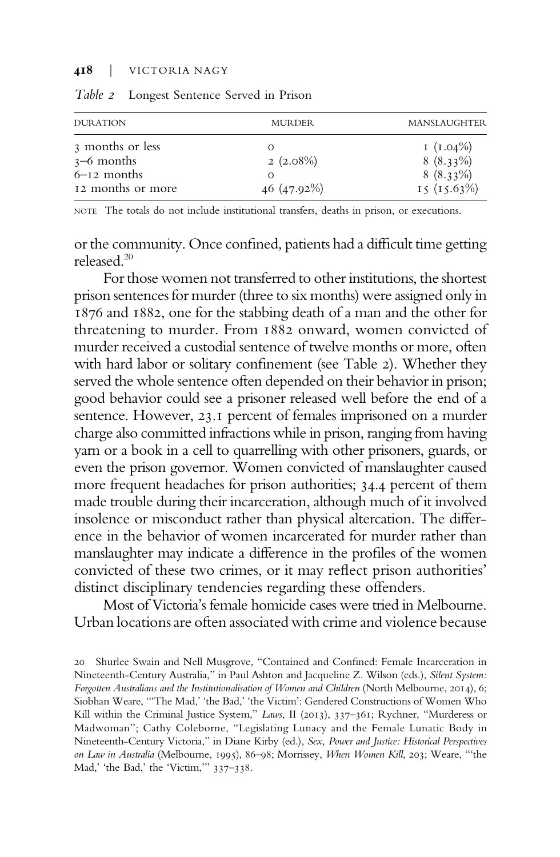| <b>DURATION</b>   | <b>MURDER</b> | MANSLAUGHTER |
|-------------------|---------------|--------------|
| 3 months or less  | Ω             | I $(1.04\%)$ |
| $3-6$ months      | $2(2.08\%)$   | $8(8.33\%)$  |
| $6-12$ months     | Ω             | $8(8.33\%)$  |
| 12 months or more | $46(47.92\%)$ | 15(15.63%)   |
|                   |               |              |

Table 2 Longest Sentence Served in Prison

NOTE The totals do not include institutional transfers, deaths in prison, or executions.

or the community. Once confined, patients had a difficult time getting released.<sup>20</sup>

For those women not transferred to other institutions, the shortest prison sentences for murder (three to six months) were assigned only in 1876 and 1882, one for the stabbing death of a man and the other for threatening to murder. From 1882 onward, women convicted of murder received a custodial sentence of twelve months or more, often with hard labor or solitary confinement (see Table 2). Whether they served the whole sentence often depended on their behavior in prison; good behavior could see a prisoner released well before the end of a sentence. However, 23.1 percent of females imprisoned on a murder charge also committed infractions while in prison, ranging from having yarn or a book in a cell to quarrelling with other prisoners, guards, or even the prison governor. Women convicted of manslaughter caused more frequent headaches for prison authorities; 34.4 percent of them made trouble during their incarceration, although much of it involved insolence or misconduct rather than physical altercation. The difference in the behavior of women incarcerated for murder rather than manslaughter may indicate a difference in the profiles of the women convicted of these two crimes, or it may reflect prison authorities' distinct disciplinary tendencies regarding these offenders.

Most of Victoria's female homicide cases were tried in Melbourne. Urban locations are often associated with crime and violence because

<sup>20</sup> Shurlee Swain and Nell Musgrove, "Contained and Confined: Female Incarceration in Nineteenth-Century Australia," in Paul Ashton and Jacqueline Z. Wilson (eds.), Silent System: Forgotten Australians and the Institutionalisation of Women and Children (North Melbourne, 2014), 6; Siobhan Weare, "'The Mad,' 'the Bad,' 'the Victim': Gendered Constructions of Women Who Kill within the Criminal Justice System," Laws, II (2013), 337-361; Rychner, "Murderess or Madwoman"; Cathy Coleborne, "Legislating Lunacy and the Female Lunatic Body in Nineteenth-Century Victoria," in Diane Kirby (ed.), Sex, Power and Justice: Historical Perspectives on Law in Australia (Melbourne, 1995), 86–98; Morrissey, When Women Kill, 203; Weare, "'the Mad,' 'the Bad,' the 'Victim,'" 337–338.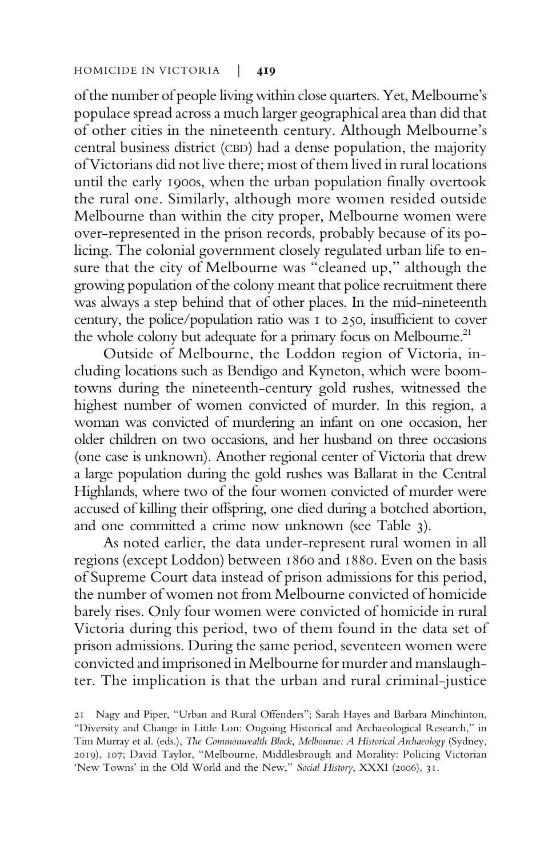of the number of people living within close quarters. Yet, Melbourne's populace spread across a much larger geographical area than did that of other cities in the nineteenth century. Although Melbourne's central business district (CBD) had a dense population, the majority of Victorians did not live there; most of them lived in rural locations until the early 1900s, when the urban population finally overtook the rural one. Similarly, although more women resided outside Melbourne than within the city proper, Melbourne women were over-represented in the prison records, probably because of its policing. The colonial government closely regulated urban life to ensure that the city of Melbourne was "cleaned up," although the growing population of the colony meant that police recruitment there was always a step behind that of other places. In the mid-nineteenth century, the police/population ratio was 1 to 250, insufficient to cover the whole colony but adequate for a primary focus on Melbourne.<sup>21</sup>

Outside of Melbourne, the Loddon region of Victoria, including locations such as Bendigo and Kyneton, which were boomtowns during the nineteenth-century gold rushes, witnessed the highest number of women convicted of murder. In this region, a woman was convicted of murdering an infant on one occasion, her older children on two occasions, and her husband on three occasions (one case is unknown). Another regional center of Victoria that drew a large population during the gold rushes was Ballarat in the Central Highlands, where two of the four women convicted of murder were accused of killing their offspring, one died during a botched abortion, and one committed a crime now unknown (see Table 3).

As noted earlier, the data under-represent rural women in all regions (except Loddon) between 1860 and 1880. Even on the basis of Supreme Court data instead of prison admissions for this period, the number of women not from Melbourne convicted of homicide barely rises. Only four women were convicted of homicide in rural Victoria during this period, two of them found in the data set of prison admissions. During the same period, seventeen women were convicted and imprisoned in Melbourne for murder and manslaughter. The implication is that the urban and rural criminal-justice

<sup>21</sup> Nagy and Piper, "Urban and Rural Offenders"; Sarah Hayes and Barbara Minchinton, "Diversity and Change in Little Lon: Ongoing Historical and Archaeological Research," in Tim Murray et al. (eds.), The Commonwealth Block, Melbourne: A Historical Archaeology (Sydney, 2019), 107; David Taylor, "Melbourne, Middlesbrough and Morality: Policing Victorian 'New Towns' in the Old World and the New," Social History, XXXI (2006), 31.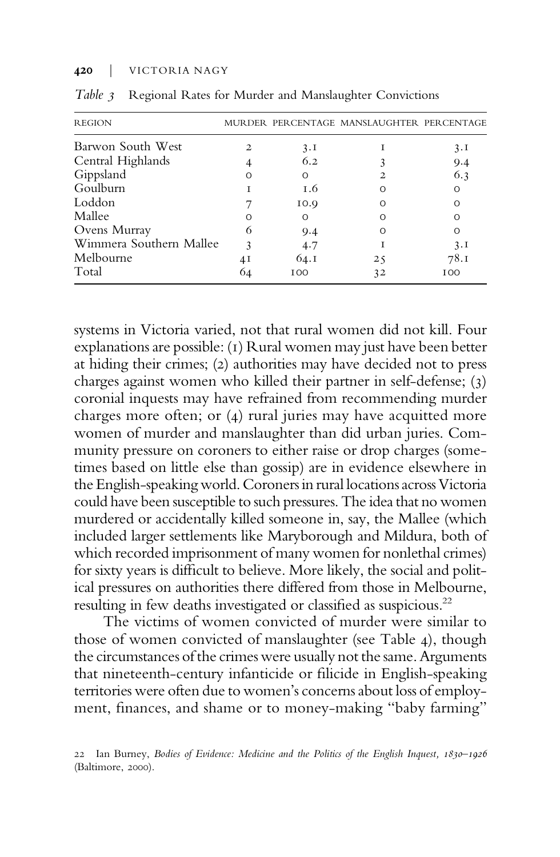| <b>REGION</b>           |    |          | MURDER PERCENTAGE MANSLAUGHTER PERCENTAGE |            |
|-------------------------|----|----------|-------------------------------------------|------------|
| Barwon South West       | 2. | 3.1      |                                           | 3.1        |
| Central Highlands       |    | 6.2      |                                           | 9.4        |
| Gippsland               |    | $\Omega$ |                                           | 6.3        |
| Goulburn                |    | 1.6      | ∩                                         | ∩          |
| Loddon                  |    | 10.9     | ∩                                         | Ω          |
| Mallee                  |    | $\Omega$ | ∩                                         |            |
| Ovens Murray            | 6  | 9.4      | O                                         | ∩          |
| Wimmera Southern Mallee |    | 4.7      |                                           | 3.1        |
| Melbourne               | 4Ι | 64.I     | $2\zeta$                                  | 78.I       |
| Total                   |    | 100      | 32                                        | <b>IOO</b> |

Table 3 Regional Rates for Murder and Manslaughter Convictions

systems in Victoria varied, not that rural women did not kill. Four explanations are possible: (1) Rural women may just have been better at hiding their crimes; (2) authorities may have decided not to press charges against women who killed their partner in self-defense; (3) coronial inquests may have refrained from recommending murder charges more often; or (4) rural juries may have acquitted more women of murder and manslaughter than did urban juries. Community pressure on coroners to either raise or drop charges (sometimes based on little else than gossip) are in evidence elsewhere in the English-speaking world. Coroners in rural locations across Victoria could have been susceptible to such pressures. The idea that no women murdered or accidentally killed someone in, say, the Mallee (which included larger settlements like Maryborough and Mildura, both of which recorded imprisonment of many women for nonlethal crimes) for sixty years is difficult to believe. More likely, the social and political pressures on authorities there differed from those in Melbourne, resulting in few deaths investigated or classified as suspicious.<sup>22</sup>

The victims of women convicted of murder were similar to those of women convicted of manslaughter (see Table 4), though the circumstances of the crimes were usually not the same. Arguments that nineteenth-century infanticide or filicide in English-speaking territories were often due to women's concerns about loss of employment, finances, and shame or to money-making "baby farming"

<sup>22</sup> Ian Burney, Bodies of Evidence: Medicine and the Politics of the English Inquest, 1830–1926 (Baltimore, 2000).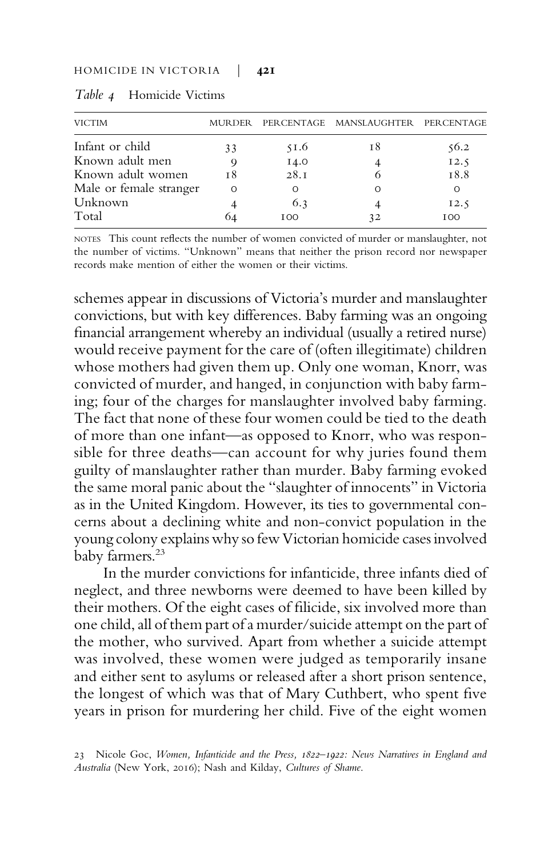| <b>VICTIM</b>           | MURDER   |      | PERCENTAGE MANSLAUGHTER PERCENTAGE |         |
|-------------------------|----------|------|------------------------------------|---------|
| Infant or child         | 33       | 51.6 | 18                                 | 56.2    |
| Known adult men         |          | 14.0 |                                    | 12.5    |
| Known adult women       | т8       | 28.1 |                                    | 18.8    |
| Male or female stranger | $\Omega$ | O    |                                    | $\circ$ |
| Unknown                 |          | 6.3  |                                    | 12.5    |
| Total                   | 64       | 100  | 32                                 | 100     |

Table 4 Homicide Victims

NOTES This count reflects the number of women convicted of murder or manslaughter, not the number of victims. "Unknown" means that neither the prison record nor newspaper records make mention of either the women or their victims.

schemes appear in discussions of Victoria's murder and manslaughter convictions, but with key differences. Baby farming was an ongoing financial arrangement whereby an individual (usually a retired nurse) would receive payment for the care of (often illegitimate) children whose mothers had given them up. Only one woman, Knorr, was convicted of murder, and hanged, in conjunction with baby farming; four of the charges for manslaughter involved baby farming. The fact that none of these four women could be tied to the death of more than one infant—as opposed to Knorr, who was responsible for three deaths—can account for why juries found them guilty of manslaughter rather than murder. Baby farming evoked the same moral panic about the "slaughter of innocents" in Victoria as in the United Kingdom. However, its ties to governmental concerns about a declining white and non-convict population in the young colony explains why so few Victorian homicide cases involved baby farmers.<sup>23</sup>

In the murder convictions for infanticide, three infants died of neglect, and three newborns were deemed to have been killed by their mothers. Of the eight cases of filicide, six involved more than one child, all of them part of a murder/suicide attempt on the part of the mother, who survived. Apart from whether a suicide attempt was involved, these women were judged as temporarily insane and either sent to asylums or released after a short prison sentence, the longest of which was that of Mary Cuthbert, who spent five years in prison for murdering her child. Five of the eight women

<sup>23</sup> Nicole Goc, Women, Infanticide and the Press, 1822–1922: News Narratives in England and Australia (New York, 2016); Nash and Kilday, Cultures of Shame.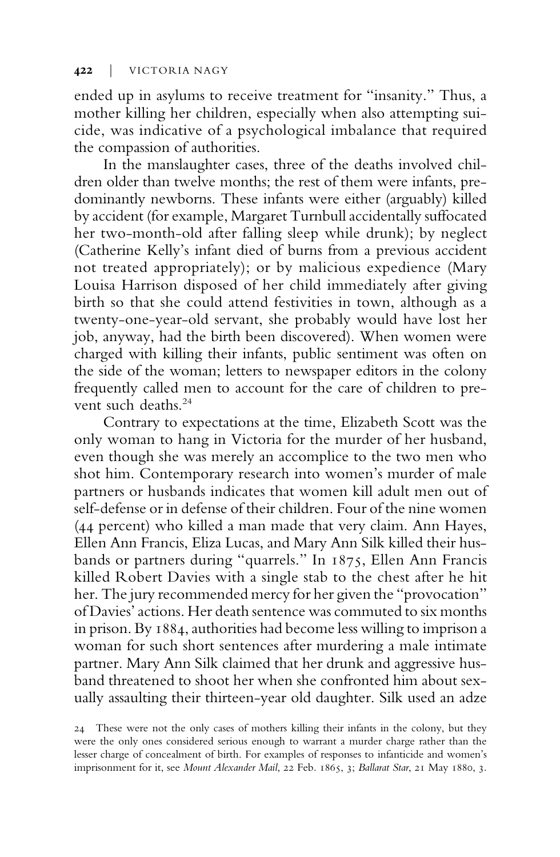ended up in asylums to receive treatment for "insanity." Thus, a mother killing her children, especially when also attempting suicide, was indicative of a psychological imbalance that required the compassion of authorities.

In the manslaughter cases, three of the deaths involved children older than twelve months; the rest of them were infants, predominantly newborns. These infants were either (arguably) killed by accident (for example, Margaret Turnbull accidentally suffocated her two-month-old after falling sleep while drunk); by neglect (Catherine Kelly's infant died of burns from a previous accident not treated appropriately); or by malicious expedience (Mary Louisa Harrison disposed of her child immediately after giving birth so that she could attend festivities in town, although as a twenty-one-year-old servant, she probably would have lost her job, anyway, had the birth been discovered). When women were charged with killing their infants, public sentiment was often on the side of the woman; letters to newspaper editors in the colony frequently called men to account for the care of children to prevent such deaths.<sup>24</sup>

Contrary to expectations at the time, Elizabeth Scott was the only woman to hang in Victoria for the murder of her husband, even though she was merely an accomplice to the two men who shot him. Contemporary research into women's murder of male partners or husbands indicates that women kill adult men out of self-defense or in defense of their children. Four of the nine women (44 percent) who killed a man made that very claim. Ann Hayes, Ellen Ann Francis, Eliza Lucas, and Mary Ann Silk killed their husbands or partners during "quarrels." In 1875, Ellen Ann Francis killed Robert Davies with a single stab to the chest after he hit her. The jury recommended mercy for her given the "provocation" of Davies'actions. Her death sentence was commuted to six months in prison. By 1884, authorities had become less willing to imprison a woman for such short sentences after murdering a male intimate partner. Mary Ann Silk claimed that her drunk and aggressive husband threatened to shoot her when she confronted him about sexually assaulting their thirteen-year old daughter. Silk used an adze

<sup>24</sup> These were not the only cases of mothers killing their infants in the colony, but they were the only ones considered serious enough to warrant a murder charge rather than the lesser charge of concealment of birth. For examples of responses to infanticide and women's imprisonment for it, see Mount Alexander Mail, 22 Feb. 1865, 3; Ballarat Star, 21 May 1880, 3.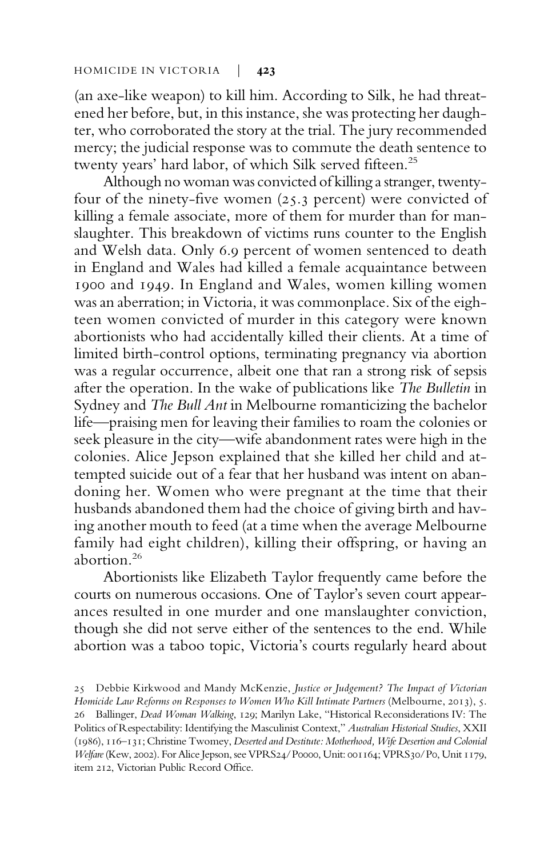(an axe-like weapon) to kill him. According to Silk, he had threatened her before, but, in this instance, she was protecting her daughter, who corroborated the story at the trial. The jury recommended mercy; the judicial response was to commute the death sentence to twenty years' hard labor, of which Silk served fifteen.<sup>25</sup>

Although no woman was convicted of killing a stranger, twentyfour of the ninety-five women (25.3 percent) were convicted of killing a female associate, more of them for murder than for manslaughter. This breakdown of victims runs counter to the English and Welsh data. Only 6.9 percent of women sentenced to death in England and Wales had killed a female acquaintance between 1900 and 1949. In England and Wales, women killing women was an aberration; in Victoria, it was commonplace. Six of the eighteen women convicted of murder in this category were known abortionists who had accidentally killed their clients. At a time of limited birth-control options, terminating pregnancy via abortion was a regular occurrence, albeit one that ran a strong risk of sepsis after the operation. In the wake of publications like The Bulletin in Sydney and The Bull Ant in Melbourne romanticizing the bachelor life—praising men for leaving their families to roam the colonies or seek pleasure in the city—wife abandonment rates were high in the colonies. Alice Jepson explained that she killed her child and attempted suicide out of a fear that her husband was intent on abandoning her. Women who were pregnant at the time that their husbands abandoned them had the choice of giving birth and having another mouth to feed (at a time when the average Melbourne family had eight children), killing their offspring, or having an abortion.<sup>26</sup>

Abortionists like Elizabeth Taylor frequently came before the courts on numerous occasions. One of Taylor's seven court appearances resulted in one murder and one manslaughter conviction, though she did not serve either of the sentences to the end. While abortion was a taboo topic, Victoria's courts regularly heard about

<sup>25</sup> Debbie Kirkwood and Mandy McKenzie, Justice or Judgement? The Impact of Victorian Homicide Law Reforms on Responses to Women Who Kill Intimate Partners (Melbourne, 2013), 5. 26 Ballinger, Dead Woman Walking, 129; Marilyn Lake, "Historical Reconsiderations IV: The Politics of Respectability: Identifying the Masculinist Context," Australian Historical Studies, XXII (1986), 116–131; Christine Twomey, Deserted and Destitute: Motherhood, Wife Desertion and Colonial Welfare(Kew, 2002). For Alice Jepson, see VPRS24/P0000, Unit: 001164; VPRS30/P0, Unit 1179, item 212, Victorian Public Record Office.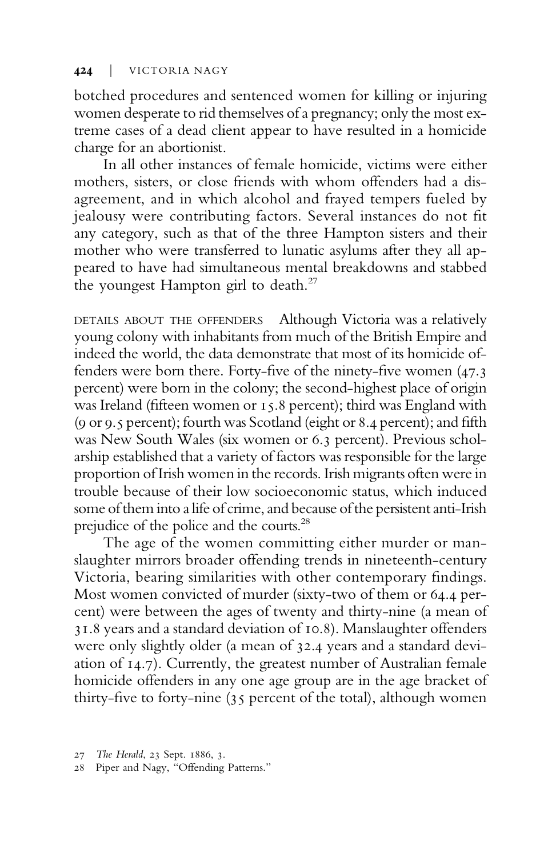botched procedures and sentenced women for killing or injuring women desperate to rid themselves of a pregnancy; only the most extreme cases of a dead client appear to have resulted in a homicide charge for an abortionist.

In all other instances of female homicide, victims were either mothers, sisters, or close friends with whom offenders had a disagreement, and in which alcohol and frayed tempers fueled by jealousy were contributing factors. Several instances do not fit any category, such as that of the three Hampton sisters and their mother who were transferred to lunatic asylums after they all appeared to have had simultaneous mental breakdowns and stabbed the youngest Hampton girl to death.<sup>27</sup>

DETAILS ABOUT THE OFFENDERS Although Victoria was a relatively young colony with inhabitants from much of the British Empire and indeed the world, the data demonstrate that most of its homicide offenders were born there. Forty-five of the ninety-five women (47.3 percent) were born in the colony; the second-highest place of origin was Ireland (fifteen women or 15.8 percent); third was England with (9 or 9.5 percent); fourth was Scotland (eight or 8.4 percent); and fifth was New South Wales (six women or 6.3 percent). Previous scholarship established that a variety of factors was responsible for the large proportion of Irish women in the records. Irish migrants often were in trouble because of their low socioeconomic status, which induced some of them into a life of crime, and because of the persistent anti-Irish prejudice of the police and the courts.<sup>28</sup>

The age of the women committing either murder or manslaughter mirrors broader offending trends in nineteenth-century Victoria, bearing similarities with other contemporary findings. Most women convicted of murder (sixty-two of them or 64.4 percent) were between the ages of twenty and thirty-nine (a mean of 31.8 years and a standard deviation of 10.8). Manslaughter offenders were only slightly older (a mean of 32.4 years and a standard deviation of 14.7). Currently, the greatest number of Australian female homicide offenders in any one age group are in the age bracket of thirty-five to forty-nine (35 percent of the total), although women

<sup>27</sup> The Herald, 23 Sept. 1886, 3.

<sup>28</sup> Piper and Nagy, "Offending Patterns."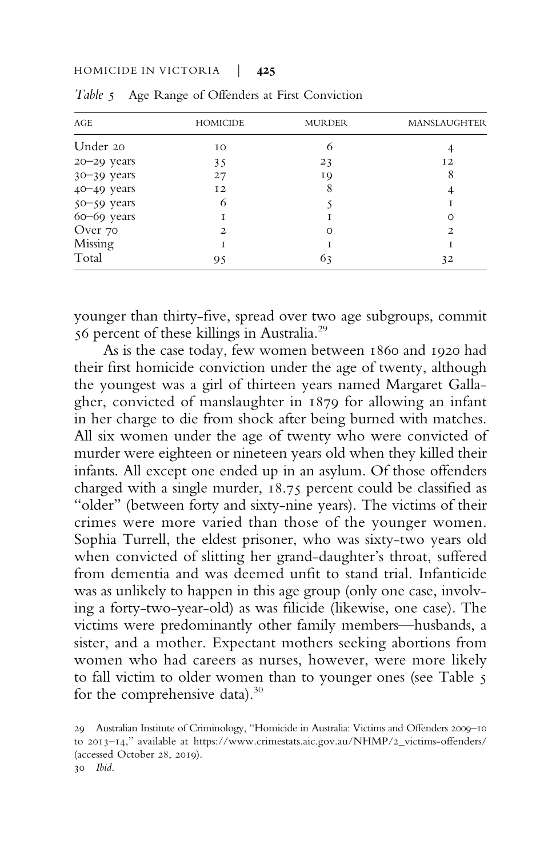| AGE             | <b>HOMICIDE</b> | <b>MURDER</b> | <b>MANSLAUGHTER</b> |
|-----------------|-----------------|---------------|---------------------|
| Under 20        | IO              | 6             |                     |
| $20 - 29$ years | 35              | 23            | I <sub>2</sub>      |
| 30-39 years     | 27              | 19            | 8                   |
| 40-49 years     | 12              | 8             |                     |
| 50-59 years     | 6               |               |                     |
| 60-69 years     |                 |               | Ω                   |
| Over 70         | 2               | O             | $\overline{2}$      |
| Missing         |                 |               |                     |
| Total           | 95              | 63            | 32                  |

Table 5 Age Range of Offenders at First Conviction

younger than thirty-five, spread over two age subgroups, commit 56 percent of these killings in Australia.<sup>29</sup>

As is the case today, few women between 1860 and 1920 had their first homicide conviction under the age of twenty, although the youngest was a girl of thirteen years named Margaret Gallagher, convicted of manslaughter in 1879 for allowing an infant in her charge to die from shock after being burned with matches. All six women under the age of twenty who were convicted of murder were eighteen or nineteen years old when they killed their infants. All except one ended up in an asylum. Of those offenders charged with a single murder, 18.75 percent could be classified as "older" (between forty and sixty-nine years). The victims of their crimes were more varied than those of the younger women. Sophia Turrell, the eldest prisoner, who was sixty-two years old when convicted of slitting her grand-daughter's throat, suffered from dementia and was deemed unfit to stand trial. Infanticide was as unlikely to happen in this age group (only one case, involving a forty-two-year-old) as was filicide (likewise, one case). The victims were predominantly other family members—husbands, a sister, and a mother. Expectant mothers seeking abortions from women who had careers as nurses, however, were more likely to fall victim to older women than to younger ones (see Table 5 for the comprehensive data).<sup>30</sup>

<sup>29</sup> Australian Institute of Criminology, "Homicide in Australia: Victims and Offenders 2009–10 to 2013–14," available at [https://www.crimestats.aic.gov.au/NHMP/2\\_victims-offenders/](https://www.crimestats.aic.gov.au/NHMP/2_victimsffenders/) (accessed October 28, 2019). 30 Ibid.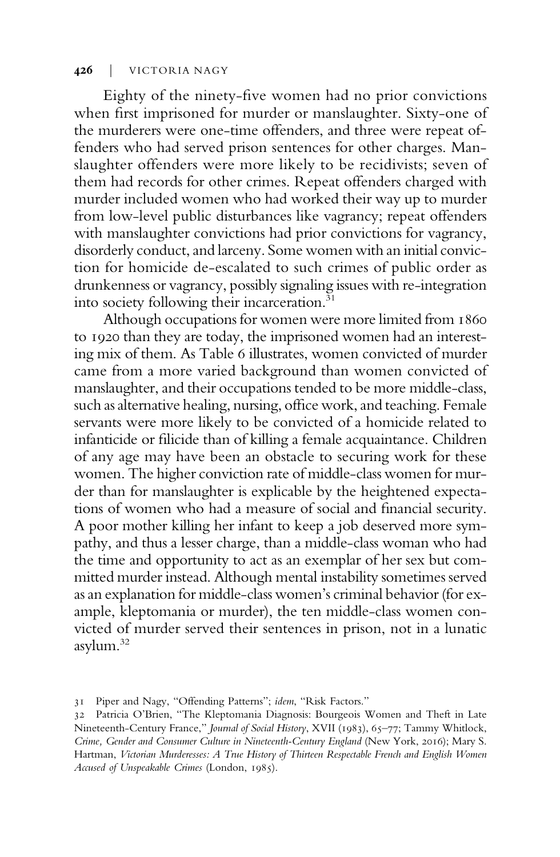Eighty of the ninety-five women had no prior convictions when first imprisoned for murder or manslaughter. Sixty-one of the murderers were one-time offenders, and three were repeat offenders who had served prison sentences for other charges. Manslaughter offenders were more likely to be recidivists; seven of them had records for other crimes. Repeat offenders charged with murder included women who had worked their way up to murder from low-level public disturbances like vagrancy; repeat offenders with manslaughter convictions had prior convictions for vagrancy, disorderly conduct, and larceny. Some women with an initial conviction for homicide de-escalated to such crimes of public order as drunkenness or vagrancy, possibly signaling issues with re-integration into society following their incarceration.<sup>31</sup>

Although occupations for women were more limited from 1860 to 1920 than they are today, the imprisoned women had an interesting mix of them. As Table 6 illustrates, women convicted of murder came from a more varied background than women convicted of manslaughter, and their occupations tended to be more middle-class, such as alternative healing, nursing, office work, and teaching. Female servants were more likely to be convicted of a homicide related to infanticide or filicide than of killing a female acquaintance. Children of any age may have been an obstacle to securing work for these women. The higher conviction rate of middle-class women for murder than for manslaughter is explicable by the heightened expectations of women who had a measure of social and financial security. A poor mother killing her infant to keep a job deserved more sympathy, and thus a lesser charge, than a middle-class woman who had the time and opportunity to act as an exemplar of her sex but committed murder instead. Although mental instability sometimes served as an explanation for middle-class women's criminal behavior (for example, kleptomania or murder), the ten middle-class women convicted of murder served their sentences in prison, not in a lunatic asylum.<sup>32</sup>

<sup>31</sup> Piper and Nagy, "Offending Patterns"; idem, "Risk Factors."

<sup>32</sup> Patricia O'Brien, "The Kleptomania Diagnosis: Bourgeois Women and Theft in Late Nineteenth-Century France," Journal of Social History, XVII (1983), 65–77; Tammy Whitlock, Crime, Gender and Consumer Culture in Nineteenth-Century England (New York, 2016); Mary S. Hartman, Victorian Murderesses: A True History of Thirteen Respectable French and English Women Accused of Unspeakable Crimes (London, 1985).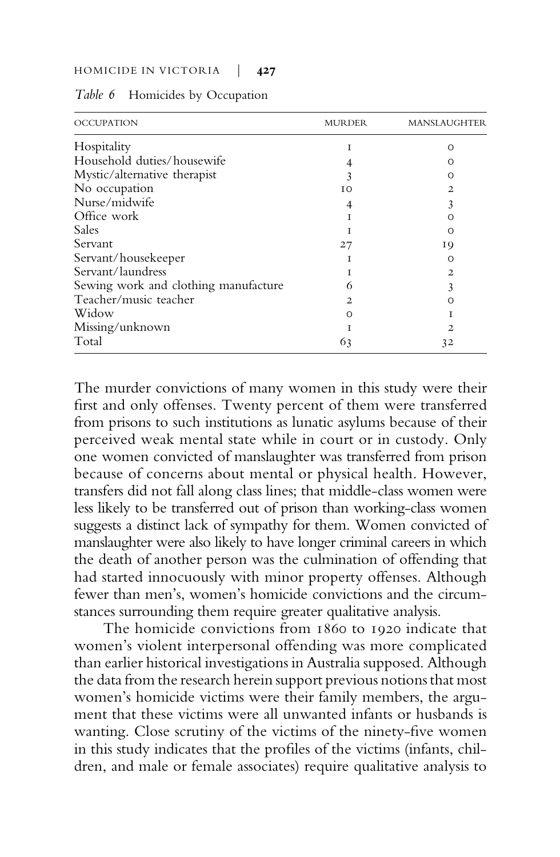| <b>OCCUPATION</b>                    | MURDER         | MANSLAUGHTER   |
|--------------------------------------|----------------|----------------|
| Hospitality                          |                | Ω              |
| Household duties/housewife           |                | O              |
| Mystic/alternative therapist         |                | ∩              |
| No occupation                        | T <sub>O</sub> | $\mathbf{2}$   |
| Nurse/midwife                        |                | 3              |
| Office work                          |                | ∩              |
| Sales                                |                | ∩              |
| Servant                              | 27             | 19             |
| Servant/housekeeper                  |                | Ω              |
| Servant/laundress                    |                | $\overline{2}$ |
| Sewing work and clothing manufacture | 6              |                |
| Teacher/music teacher                | Ο.             | Ω              |
| Widow                                | ∩              |                |
| Missing/unknown                      |                | 2.             |
| Total                                | 63             | 32             |

Table 6 Homicides by Occupation

The murder convictions of many women in this study were their first and only offenses. Twenty percent of them were transferred from prisons to such institutions as lunatic asylums because of their perceived weak mental state while in court or in custody. Only one women convicted of manslaughter was transferred from prison because of concerns about mental or physical health. However, transfers did not fall along class lines; that middle-class women were less likely to be transferred out of prison than working-class women suggests a distinct lack of sympathy for them. Women convicted of manslaughter were also likely to have longer criminal careers in which the death of another person was the culmination of offending that had started innocuously with minor property offenses. Although fewer than men's, women's homicide convictions and the circumstances surrounding them require greater qualitative analysis.

The homicide convictions from 1860 to 1920 indicate that women's violent interpersonal offending was more complicated than earlier historical investigations in Australia supposed. Although the data from the research herein support previous notions that most women's homicide victims were their family members, the argument that these victims were all unwanted infants or husbands is wanting. Close scrutiny of the victims of the ninety-five women in this study indicates that the profiles of the victims (infants, children, and male or female associates) require qualitative analysis to